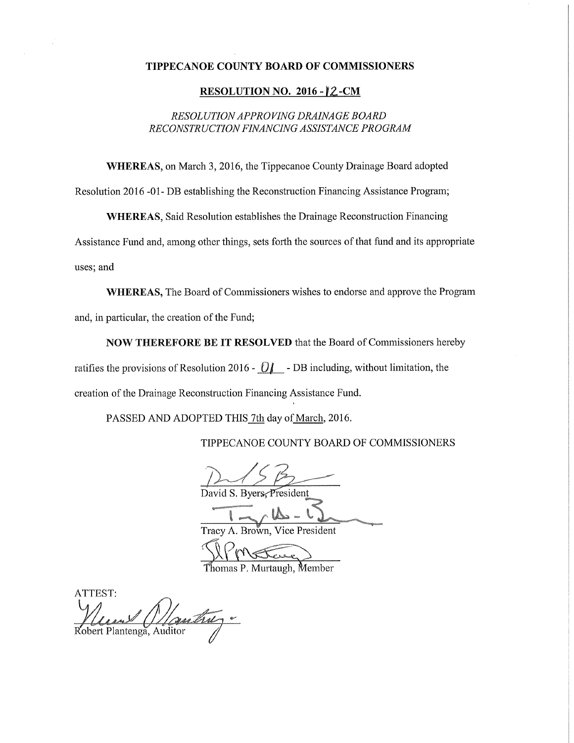## TIPPECANOE COUNTY BOARD OF COMMISSIONERS

# **RESOLUTION NO. 2016 - 2-CM**

# RESOLUTION APPROVING DRAINAGE BOARD RECONSTRUCTION FINANCING ASSISTANCE PROGRAM

WHEREAS, on March 3, 2016, the Tippecanoe County Drainage Board adopted

Resolution 2016 -01- DB establishing the Reconstruction Financing Assistance Program;

**WHEREAS, Said Resolution establishes the Drainage Reconstruction Financing** 

Assistance Fund and, among other things, sets forth the sources of that fund and its appropriate uses; and

WHEREAS, The Board of Commissioners wishes to endorse and approve the Program and, in particular, the creation of the Fund;

NOW THEREFORE BE IT RESOLVED that the Board of Commissioners hereby ratifies the provisions of Resolution 2016 -  $Q$  - DB including, without limitation, the creation of the Drainage Reconstruction Financing Assistance Fund.

PASSED AND ADOPTED THIS 7th day of March, 2016.

TIPPECANOE COUNTY BOARD OF COMMISSIONERS

David S. Byers. President

Tracy A. Brown, Vice President

Thomas P. Murtaugh, Member

**ATTEST:** Robert Plantenga, Auditor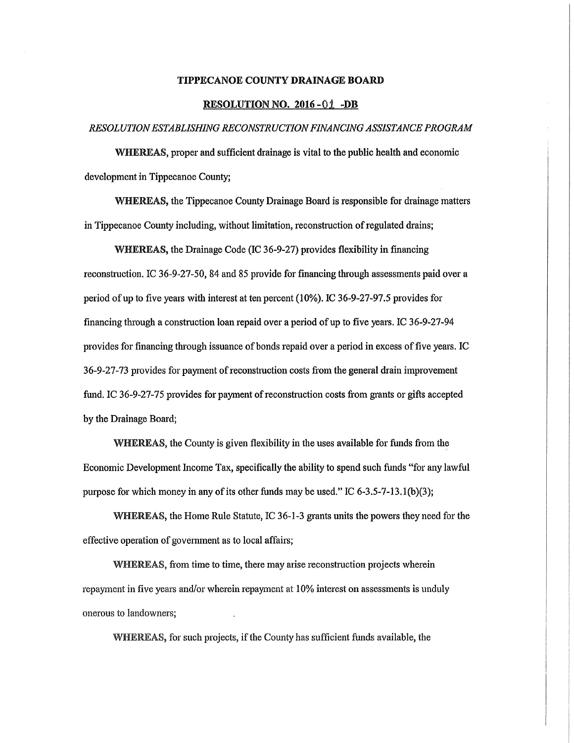### TIPPECANOE COUNTY DRAINAGE BOARD

#### RESOLUTION NO. 2016 - 01 - DB

## RESOLUTION ESTABLISHING RECONSTRUCTION FINANCING ASSISTANCE PROGRAM

WHEREAS, proper and sufficient drainage is vital to the public health and economic development in Tippecanoe County;

WHEREAS, the Tippecanoe County Drainage Board is responsible for drainage matters in Tippecanoe County including, without limitation, reconstruction ofregulated drains;

WHEREAS, the Drainage Code (IC 36-9-27) provides flexibility in financing reconstruction. IC 36-9-27-50, 84 and 85 provide for financing through assessments paid over a period of up to five years with interest at ten percent  $(10\%)$ . IC 36-9-27-97.5 provides for financing through <sup>a</sup> construction loan repaid over <sup>a</sup> period ofup to five years. IC 36-9-27-94 provides for financing through issuance of bonds repaid over a period in excess of five years. IC 36-9-27-73 provides for payment of reconstruction costs from the general drain improvement fund. IC 36-9-27-75 provides for payment of reconstruction costs from grants or gifts accepted by the Drainage Board;

WHEREAS, the County is given flexibility in the uses available for funds from the Economic Development Income Tax, specifically the ability to spend such funds "for any lawful purpose for which money in any of its other funds may be used." IC 6-3.5-7-13.1(b)(3);

EEEAS, the Home Rule Statute, IC 36—1—3 grants units the powers they need for the effective operation of government as to local affairs;

WHEREAS, from time to time, there may arise reconstruction projects wherein repayment in five years and/or wherein repayment at 10% interest on assessments is unduly onerous to landowners;

WHEREAS, for such projects, if the County has sufficient funds available, the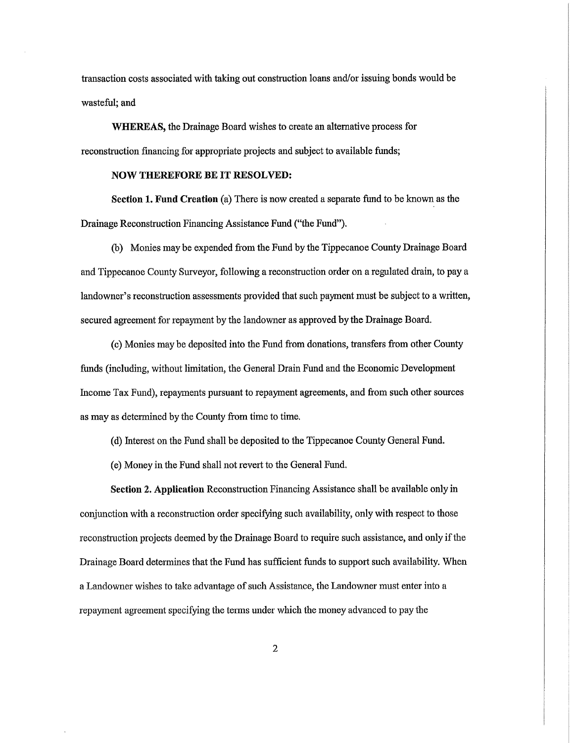transaction costs associated with taking out construction loans and/or issuing bonds would be wasteful; and

WHEREAS, the Drainage Board wishes to create an alternative process for reconstruction financing for appropriate projects and subject to available funds;

## NOW THEREFORE BE IT RESOLVED:

Section 1. Fund Creation (a) There is now created <sup>a</sup> separate fund to be known as the Drainage Reconstruction Financing Assistance Fund ("the Fund").

(b) Monies may be expended from the Fund by the Tippecanoe County Drainage Board and Tippecanoe County Surveyor, following <sup>a</sup> reconstruction order on <sup>a</sup> regulated drain, to pay <sup>a</sup> landowner's reconstruction assessments provided that such payment must be subject to <sup>a</sup> written, secured agreement for repayment by the landowner as approved by the Drainage Board.

(c) Monies may be deposited into the Fund from donations, transfers fiom other County funds (including, without limitation, the General Drain Fund and the Economic Development Income Tax Fund), repayments pursuant to repayment agreements, and from suchother sources as may as determined by the County from time to time.

((1) Interest on the Fund shall be deposited to the Tippecanoe County General Fund.

(e) Money in the Fund shall not revert to the General Fund.

Section 2. Application Reconstruction Financing Assistance shall be available only in conjunction with <sup>a</sup> reconstruction order specifying such availability, only with respect to those reconstruction projects deemed by the Drainage Board to require such assistance, and only ifthe Drainage Board determines that the Fund has sufficient funds to support such availability. When <sup>a</sup> Landowner wishes to take advantage of such Assistance, the Landowner must enter into <sup>a</sup> repayment agreement specifying the terms under which the money advanced to pay the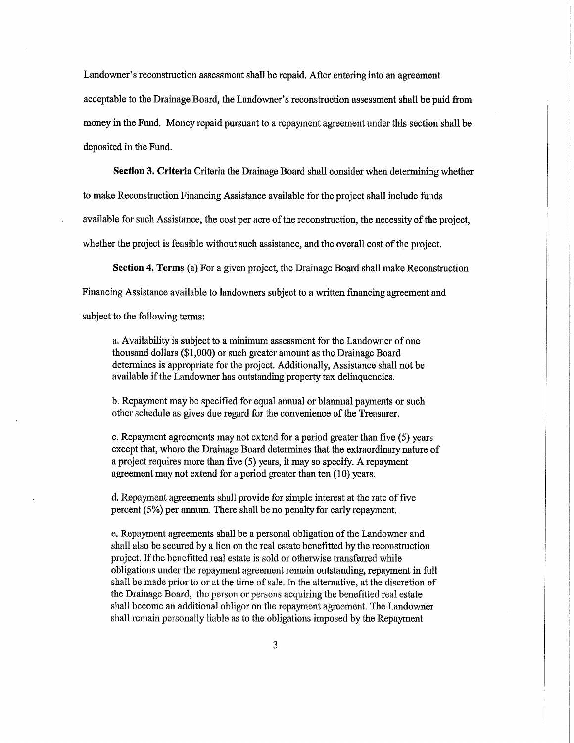Landowner's reconstruction assessment shall be repaid. After entering into an agreement

acceptable to the Drainage Board, the Landowner's reconstruction assessment shall be paid from money in the Fund. Money repaid pursuant to <sup>a</sup> repayment agreement under this section shall be deposited in the Fund.

Section 3. Criteria Criteria the Drainage Board shall consider when determining whether

to make Reconstruction Financing Assistance available for the project shall include funds

available for such Assistance, the cost per acre of the reconstruction, the necessity of the project,

whether the project is feasible without such assistance, and the overall cost of the project.

Section 4. Terms (a) For <sup>a</sup> given project, the Drainage Board shall make Reconstruction

Financing Assistance available to landowners subject to <sup>a</sup> written financing agreement and

subject to the following terms:

a. Availability is subject to a minimum assessment for the Landowner of one thousand dollars (\$1,000) or such greater amount as the Drainage Board determines is appropriate for the project. Additionally, Assistance shall not be available if the Landowner has outstanding property tax delinquencies.

b. Repayment may be specified for equal annual or biannual payments or such other schedule as gives due regard for the convenience of the Treasurer.

c. Repayment agreements may not extend for <sup>a</sup> period greater than five (5) years except that, where the Drainage Board determines that the extraordinary nature of <sup>a</sup> project requires more than five (5) years, it may so specify. <sup>A</sup> repayment agreement may not extend for <sup>a</sup> period greater than ten (10) years.

d. Repayment agreements shall provide for simple interest at the rate of five percent (5%) per annum. There shall be no penalty for early repayment.

e. Repayment agreements shall be a personal obligation of the Landowner and shall also be secured by <sup>a</sup> lien on the real estate benefitted by the reconstruction project. If the benefitted real estate is sold or otherwise transferred while obligations under the repayment agreement remain outstanding, repayment in full shall be made prior to or at the time of sale. In the alternative, at the discretion of the Drainage Board, the person or persons acquiring the benefitted real estate shall become an additional obligor on the repayment agreement. The Landowner shall remain personally liable as to the obligations imposed by the Repayment